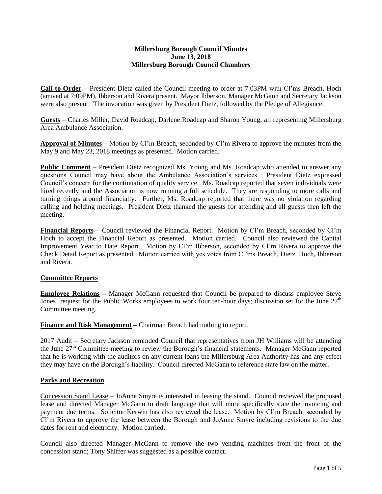# **Millersburg Borough Council Minutes June 13, 2018 Millersburg Borough Council Chambers**

**Call to Order** – President Dietz called the Council meeting to order at 7:03PM with Cl'ms Breach, Hoch (arrived at 7:09PM), Ibberson and Rivera present. Mayor Ibberson, Manager McGann and Secretary Jackson were also present. The invocation was given by President Dietz, followed by the Pledge of Allegiance.

**Guests** – Charles Miller, David Roadcap, Darlene Roadcap and Sharon Young, all representing Millersburg Area Ambulance Association.

**Approval of Minutes** – Motion by Cl'm Breach, seconded by Cl'm Rivera to approve the minutes from the May 9 and May 23, 2018 meetings as presented. Motion carried.

**Public Comment** – President Dietz recognized Ms. Young and Ms. Roadcap who attended to answer any questions Council may have about the Ambulance Association's services. President Dietz expressed Council's concern for the continuation of quality service. Ms. Roadcap reported that seven individuals were hired recently and the Association is now running a full schedule. They are responding to more calls and turning things around financially. Further, Ms. Roadcap reported that there was no violation regarding calling and holding meetings. President Dietz thanked the guests for attending and all guests then left the meeting.

**Financial Reports** – Council reviewed the Financial Report. Motion by Cl'm Breach, seconded by Cl'm Hoch to accept the Financial Report as presented. Motion carried. Council also reviewed the Capital Improvement Year to Date Report. Motion by Cl'm Ibberson, seconded by Cl'm Rivera to approve the Check Detail Report as presented. Motion carried with yes votes from Cl'ms Breach, Dietz, Hoch, Ibberson and Rivera.

# **Committee Reports**

**Employee Relations –** Manager McGann requested that Council be prepared to discuss employee Steve Jones' request for the Public Works employees to work four ten-hour days; discussion set for the June 27<sup>th</sup> Committee meeting.

**Finance and Risk Management –** Chairman Breach had nothing to report.

2017 Audit – Secretary Jackson reminded Council that representatives from JH Williams will be attending the June 27<sup>th</sup> Committee meeting to review the Borough's financial statements. Manager McGann reported that he is working with the auditors on any current loans the Millersburg Area Authority has and any effect they may have on the Borough's liability. Council directed McGann to reference state law on the matter.

# **Parks and Recreation**

Concession Stand Lease – JoAnne Smyre is interested in leasing the stand. Council reviewed the proposed lease and directed Manager McGann to draft language that will more specifically state the invoicing and payment due terms. Solicitor Kerwin has also reviewed the lease. Motion by Cl'm Breach, seconded by Cl'm Rivera to approve the lease between the Borough and JoAnne Smyre including revisions to the due dates for rent and electricity. Motion carried.

Council also directed Manager McGann to remove the two vending machines from the front of the concession stand; Tony Shiffer was suggested as a possible contact.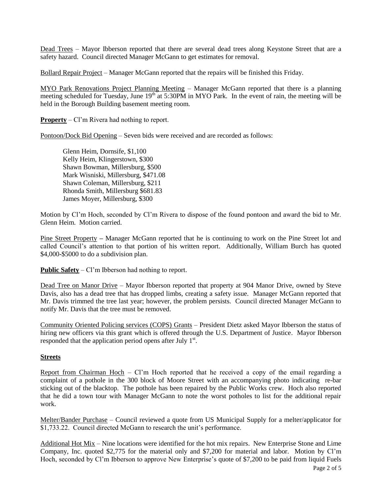Dead Trees – Mayor Ibberson reported that there are several dead trees along Keystone Street that are a safety hazard. Council directed Manager McGann to get estimates for removal.

Bollard Repair Project – Manager McGann reported that the repairs will be finished this Friday.

MYO Park Renovations Project Planning Meeting – Manager McGann reported that there is a planning meeting scheduled for Tuesday, June 19<sup>th</sup> at 5:30PM in MYO Park. In the event of rain, the meeting will be held in the Borough Building basement meeting room.

**Property** – Cl'm Rivera had nothing to report.

Pontoon/Dock Bid Opening – Seven bids were received and are recorded as follows:

Glenn Heim, Dornsife, \$1,100 Kelly Heim, Klingerstown, \$300 Shawn Bowman, Millersburg, \$500 Mark Wisniski, Millersburg, \$471.08 Shawn Coleman, Millersburg, \$211 Rhonda Smith, Millersburg \$681.83 James Moyer, Millersburg, \$300

Motion by Cl'm Hoch, seconded by Cl'm Rivera to dispose of the found pontoon and award the bid to Mr. Glenn Heim. Motion carried.

Pine Street Property **–** Manager McGann reported that he is continuing to work on the Pine Street lot and called Council's attention to that portion of his written report. Additionally, William Burch has quoted \$4,000-\$5000 to do a subdivision plan.

**Public Safety** – Cl'm Ibberson had nothing to report.

Dead Tree on Manor Drive – Mayor Ibberson reported that property at 904 Manor Drive, owned by Steve Davis, also has a dead tree that has dropped limbs, creating a safety issue. Manager McGann reported that Mr. Davis trimmed the tree last year; however, the problem persists. Council directed Manager McGann to notify Mr. Davis that the tree must be removed.

Community Oriented Policing services (COPS) Grants – President Dietz asked Mayor Ibberson the status of hiring new officers via this grant which is offered through the U.S. Department of Justice. Mayor Ibberson responded that the application period opens after July  $1<sup>st</sup>$ .

### **Streets**

Report from Chairman Hoch – Cl'm Hoch reported that he received a copy of the email regarding a complaint of a pothole in the 300 block of Moore Street with an accompanying photo indicating re-bar sticking out of the blacktop. The pothole has been repaired by the Public Works crew. Hoch also reported that he did a town tour with Manager McGann to note the worst potholes to list for the additional repair work.

Melter/Bander Purchase – Council reviewed a quote from US Municipal Supply for a melter/applicator for \$1,733.22. Council directed McGann to research the unit's performance.

Additional Hot Mix – Nine locations were identified for the hot mix repairs. New Enterprise Stone and Lime Company, Inc. quoted \$2,775 for the material only and \$7,200 for material and labor. Motion by Cl'm Hoch, seconded by Cl'm Ibberson to approve New Enterprise's quote of \$7,200 to be paid from liquid Fuels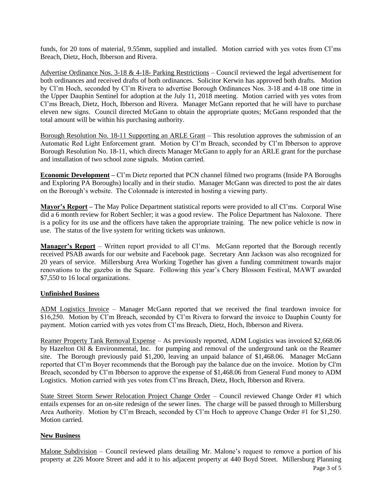funds, for 20 tons of material, 9.55mm, supplied and installed. Motion carried with yes votes from Cl'ms Breach, Dietz, Hoch, Ibberson and Rivera.

Advertise Ordinance Nos. 3-18 & 4-18- Parking Restrictions – Council reviewed the legal advertisement for both ordinances and received drafts of both ordinances. Solicitor Kerwin has approved both drafts. Motion by Cl'm Hoch, seconded by Cl'm Rivera to advertise Borough Ordinances Nos. 3-18 and 4-18 one time in the Upper Dauphin Sentinel for adoption at the July 11, 2018 meeting. Motion carried with yes votes from Cl'ms Breach, Dietz, Hoch, Ibberson and Rivera. Manager McGann reported that he will have to purchase eleven new signs. Council directed McGann to obtain the appropriate quotes; McGann responded that the total amount will be within his purchasing authority.

Borough Resolution No. 18-11 Supporting an ARLE Grant – This resolution approves the submission of an Automatic Red Light Enforcement grant. Motion by Cl'm Breach, seconded by Cl'm Ibberson to approve Borough Resolution No. 18-11, which directs Manager McGann to apply for an ARLE grant for the purchase and installation of two school zone signals. Motion carried.

**Economic Development –** Cl'm Dietz reported that PCN channel filmed two programs (Inside PA Boroughs and Exploring PA Boroughs) locally and in their studio. Manager McGann was directed to post the air dates on the Borough's website. The Colonnade is interested in hosting a viewing party.

**Mayor's Report –** The May Police Department statistical reports were provided to all Cl'ms. Corporal Wise did a 6 month review for Robert Sechler; it was a good review. The Police Department has Naloxone. There is a policy for its use and the officers have taken the appropriate training. The new police vehicle is now in use. The status of the live system for writing tickets was unknown.

**Manager's Report** – Written report provided to all Cl'ms. McGann reported that the Borough recently received PSAB awards for our website and Facebook page. Secretary Ann Jackson was also recognized for 20 years of service. Millersburg Area Working Together has given a funding commitment towards major renovations to the gazebo in the Square. Following this year's Chery Blossom Festival, MAWT awarded \$7,550 to 16 local organizations.

# **Unfinished Business**

ADM Logistics Invoice – Manager McGann reported that we received the final teardown invoice for \$16,250. Motion by Cl'm Breach, seconded by Cl'm Rivera to forward the invoice to Dauphin County for payment. Motion carried with yes votes from Cl'ms Breach, Dietz, Hoch, Ibberson and Rivera.

Reamer Property Tank Removal Expense – As previously reported, ADM Logistics was invoiced \$2,668.06 by Hazelton Oil & Environmental, Inc. for pumping and removal of the underground tank on the Reamer site. The Borough previously paid \$1,200, leaving an unpaid balance of \$1,468.06. Manager McGann reported that Cl'm Boyer recommends that the Borough pay the balance due on the invoice. Motion by Cl'm Breach, seconded by Cl'm Ibberson to approve the expense of \$1,468.06 from General Fund money to ADM Logistics. Motion carried with yes votes from Cl'ms Breach, Dietz, Hoch, Ibberson and Rivera.

State Street Storm Sewer Relocation Project Change Order – Council reviewed Change Order #1 which entails expenses for an on-site redesign of the sewer lines. The charge will be passed through to Millersburg Area Authority. Motion by Cl'm Breach, seconded by Cl'm Hoch to approve Change Order #1 for \$1,250. Motion carried.

# **New Business**

Malone Subdivision – Council reviewed plans detailing Mr. Malone's request to remove a portion of his property at 226 Moore Street and add it to his adjacent property at 440 Boyd Street. Millersburg Planning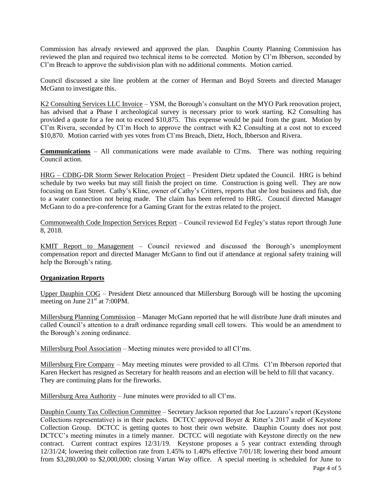Commission has already reviewed and approved the plan. Dauphin County Planning Commission has reviewed the plan and required two technical items to be corrected. Motion by Cl'm Ibberson, seconded by Cl'm Breach to approve the subdivision plan with no additional comments. Motion carried.

Council discussed a site line problem at the corner of Herman and Boyd Streets and directed Manager McGann to investigate this.

K2 Consulting Services LLC Invoice – YSM, the Borough's consultant on the MYO Park renovation project, has advised that a Phase I archeological survey is necessary prior to work starting. K2 Consulting has provided a quote for a fee not to exceed \$10,875. This expense would be paid from the grant. Motion by Cl'm Rivera, seconded by Cl'm Hoch to approve the contract with K2 Consulting at a cost not to exceed \$10,870. Motion carried with yes votes from Cl'ms Breach, Dietz, Hoch, Ibberson and Rivera.

**Communications** – All communications were made available to Cl'ms. There was nothing requiring Council action.

HRG – CDBG-DR Storm Sewer Relocation Project – President Dietz updated the Council. HRG is behind schedule by two weeks but may still finish the project on time. Construction is going well. They are now focusing on East Street. Cathy's Kline, owner of Cathy's Critters, reports that she lost business and fish, due to a water connection not being made. The claim has been referred to HRG. Council directed Manager McGann to do a pre-conference for a Gaming Grant for the extras related to the project.

Commonwealth Code Inspection Services Report – Council reviewed Ed Fegley's status report through June 8, 2018.

KMIT Report to Management – Council reviewed and discussed the Borough's unemployment compensation report and directed Manager McGann to find out if attendance at regional safety training will help the Borough's rating.

# **Organization Reports**

Upper Dauphin COG – President Dietz announced that Millersburg Borough will be hosting the upcoming meeting on June 21<sup>st</sup> at 7:00PM.

Millersburg Planning Commission – Manager McGann reported that he will distribute June draft minutes and called Council's attention to a draft ordinance regarding small cell towers. This would be an amendment to the Borough's zoning ordinance.

Millersburg Pool Association – Meeting minutes were provided to all Cl'ms.

Millersburg Fire Company – May meeting minutes were provided to all Cl'ms. Cl'm Ibberson reported that Karen Heckert has resigned as Secretary for health reasons and an election will be held to fill that vacancy. They are continuing plans for the fireworks.

Millersburg Area Authority – June minutes were provided to all Cl'ms.

Dauphin County Tax Collection Committee – Secretary Jackson reported that Joe Lazzaro's report (Keystone Collections representative) is in their packets. DCTCC approved Boyer & Ritter's 2017 audit of Keystone Collection Group. DCTCC is getting quotes to host their own website. Dauphin County does not post DCTCC's meeting minutes in a timely manner. DCTCC will negotiate with Keystone directly on the new contract. Current contract expires 12/31/19. Keystone proposes a 5 year contract extending through 12/31/24; lowering their collection rate from 1.45% to 1.40% effective 7/01/18; lowering their bond amount from \$3,280,000 to \$2,000,000; closing Vartan Way office. A special meeting is scheduled for June to